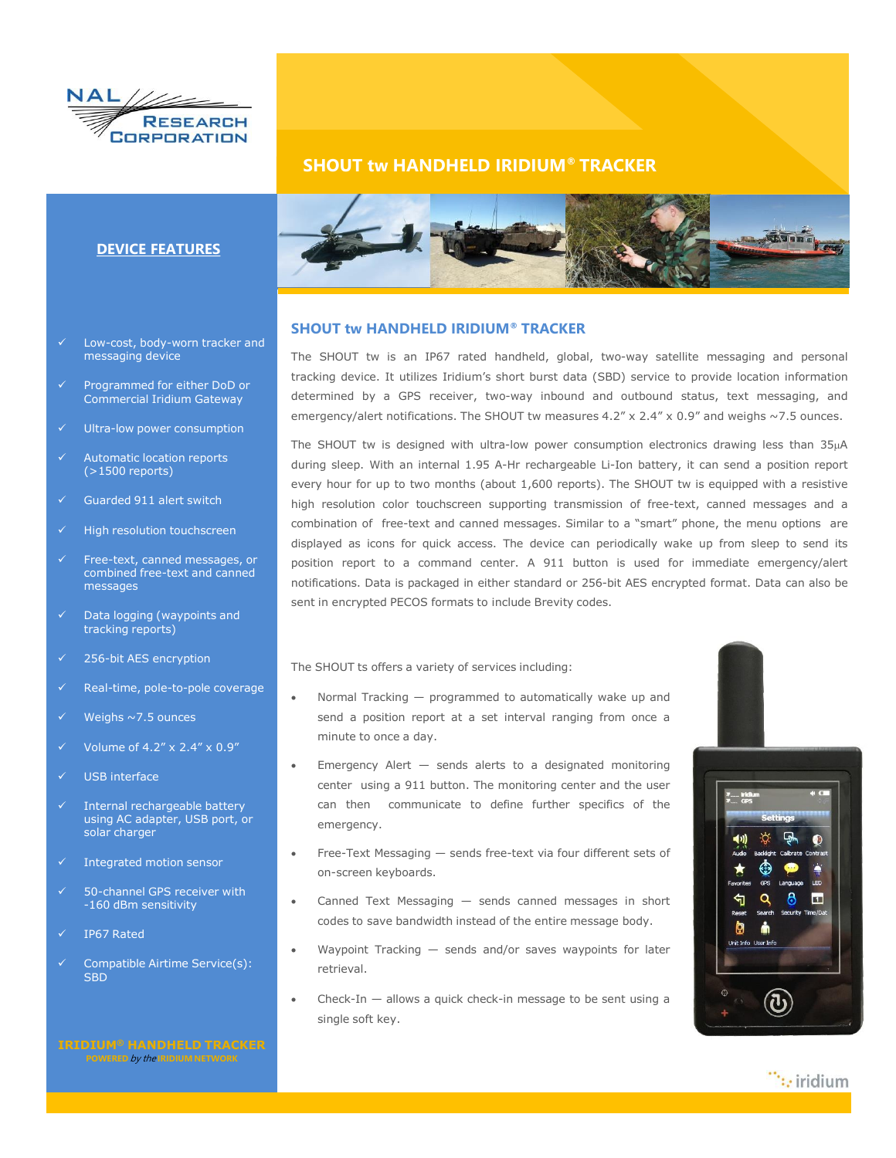

### **SHOUT tw HANDHELD IRIDIUM® TRACKER**



### **SHOUT tw HANDHELD IRIDIUM® TRACKER**

The SHOUT tw is an IP67 rated handheld, global, two-way satellite messaging and personal tracking device. It utilizes Iridium's short burst data (SBD) service to provide location information determined by a GPS receiver, two-way inbound and outbound status, text messaging, and emergency/alert notifications. The SHOUT tw measures  $4.2'' \times 2.4'' \times 0.9''$  and weighs  $\sim$  7.5 ounces.

The SHOUT tw is designed with ultra-low power consumption electronics drawing less than 35µA during sleep. With an internal 1.95 A-Hr rechargeable Li-Ion battery, it can send a position report every hour for up to two months (about 1,600 reports). The SHOUT tw is equipped with a resistive high resolution color touchscreen supporting transmission of free-text, canned messages and a combination of free-text and canned messages. Similar to a "smart" phone, the menu options are displayed as icons for quick access. The device can periodically wake up from sleep to send its position report to a command center. A 911 button is used for immediate emergency/alert notifications. Data is packaged in either standard or 256-bit AES encrypted format. Data can also be sent in encrypted PECOS formats to include Brevity codes.

The SHOUT ts offers a variety of services including:

- Normal Tracking programmed to automatically wake up and send a position report at a set interval ranging from once a minute to once a day.
- Emergency Alert sends alerts to a designated monitoring center using a 911 button. The monitoring center and the user can then communicate to define further specifics of the emergency.
- Free-Text Messaging sends free-text via four different sets of on-screen keyboards.
- Canned Text Messaging sends canned messages in short codes to save bandwidth instead of the entire message body.
- Waypoint Tracking sends and/or saves waypoints for later retrieval.
- Check-In  $-$  allows a quick check-in message to be sent using a single soft key.



 $\dddot{ }$ : iridium

## **DEVICE FEATURES**

- Low-cost, body-worn tracker and messaging device
- Programmed for either DoD or Commercial Iridium Gateway
- Ultra-low power consumption
- Automatic location reports (>1500 reports)
- Guarded 911 alert switch
- High resolution touchscreen
- Free-text, canned messages, or combined free-text and canned messages
- Data logging (waypoints and tracking reports)
- $\overline{\smash{0.256}}$ -bit AES encryption
- Real-time, pole-to-pole coverage
- Weighs  $\sim$  7.5 ounces
- Volume of 4.2" x 2.4" x 0.9"
- USB interface
- Internal rechargeable battery using AC adapter, USB port, or solar charger
- Integrated motion sensor
- 50-channel GPS receiver with -160 dBm sensitivity
- IP67 Rated
- Compatible Airtime Service(s): **SBD**

**POWERED** by the **IRIDIUM NETWORK**